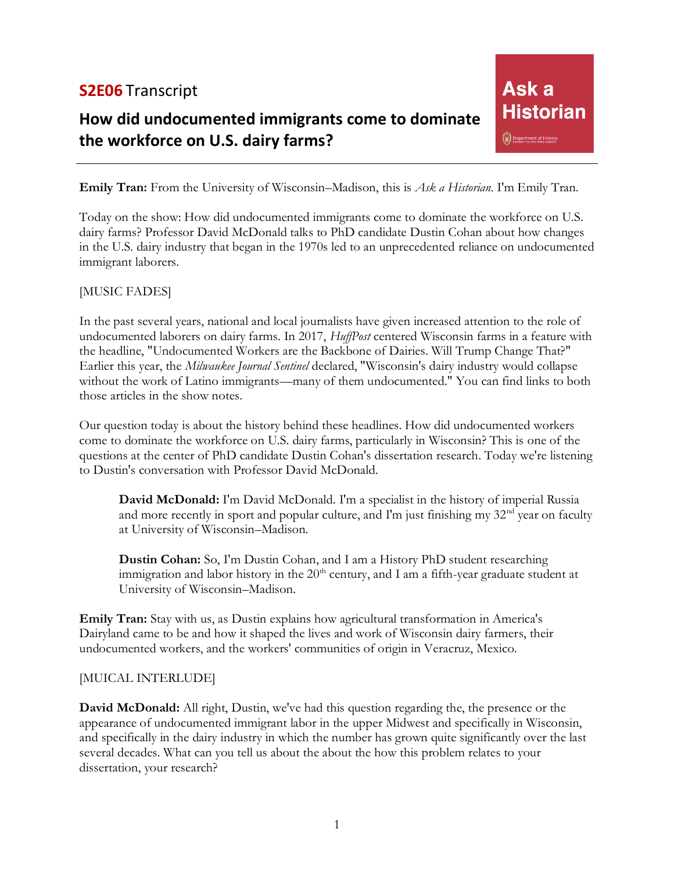# **S2E06** Transcript

# **How did undocumented immigrants come to dominate the workforce on U.S. dairy farms?**

Ask<sub>a</sub> **Historian** W Department of History

**Emily Tran:** From the University of Wisconsin–Madison, this is *Ask a Historian*. I'm Emily Tran.

Today on the show: How did undocumented immigrants come to dominate the workforce on U.S. dairy farms? Professor David McDonald talks to PhD candidate Dustin Cohan about how changes in the U.S. dairy industry that began in the 1970s led to an unprecedented reliance on undocumented immigrant laborers.

#### [MUSIC FADES]

In the past several years, national and local journalists have given increased attention to the role of undocumented laborers on dairy farms. In 2017, *HuffPost* centered Wisconsin farms in a feature with the headline, "Undocumented Workers are the Backbone of Dairies. Will Trump Change That?" Earlier this year, the *Milwaukee Journal Sentinel* declared, "Wisconsin's dairy industry would collapse without the work of Latino immigrants—many of them undocumented." You can find links to both those articles in the show notes.

Our question today is about the history behind these headlines. How did undocumented workers come to dominate the workforce on U.S. dairy farms, particularly in Wisconsin? This is one of the questions at the center of PhD candidate Dustin Cohan's dissertation research. Today we're listening to Dustin's conversation with Professor David McDonald.

**David McDonald:** I'm David McDonald. I'm a specialist in the history of imperial Russia and more recently in sport and popular culture, and I'm just finishing my  $32<sup>nd</sup>$  year on faculty at University of Wisconsin–Madison.

**Dustin Cohan:** So, I'm Dustin Cohan, and I am a History PhD student researching immigration and labor history in the  $20<sup>th</sup>$  century, and I am a fifth-year graduate student at University of Wisconsin–Madison.

**Emily Tran:** Stay with us, as Dustin explains how agricultural transformation in America's Dairyland came to be and how it shaped the lives and work of Wisconsin dairy farmers, their undocumented workers, and the workers' communities of origin in Veracruz, Mexico.

#### [MUICAL INTERLUDE]

**David McDonald:** All right, Dustin, we've had this question regarding the, the presence or the appearance of undocumented immigrant labor in the upper Midwest and specifically in Wisconsin, and specifically in the dairy industry in which the number has grown quite significantly over the last several decades. What can you tell us about the about the how this problem relates to your dissertation, your research?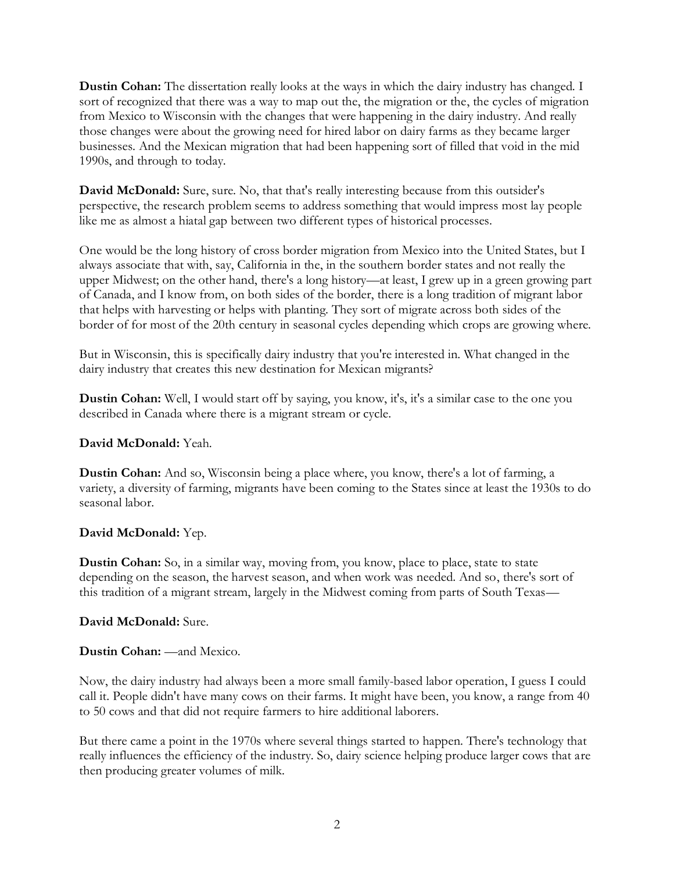**Dustin Cohan:** The dissertation really looks at the ways in which the dairy industry has changed. I sort of recognized that there was a way to map out the, the migration or the, the cycles of migration from Mexico to Wisconsin with the changes that were happening in the dairy industry. And really those changes were about the growing need for hired labor on dairy farms as they became larger businesses. And the Mexican migration that had been happening sort of filled that void in the mid 1990s, and through to today.

**David McDonald:** Sure, sure. No, that that's really interesting because from this outsider's perspective, the research problem seems to address something that would impress most lay people like me as almost a hiatal gap between two different types of historical processes.

One would be the long history of cross border migration from Mexico into the United States, but I always associate that with, say, California in the, in the southern border states and not really the upper Midwest; on the other hand, there's a long history—at least, I grew up in a green growing part of Canada, and I know from, on both sides of the border, there is a long tradition of migrant labor that helps with harvesting or helps with planting. They sort of migrate across both sides of the border of for most of the 20th century in seasonal cycles depending which crops are growing where.

But in Wisconsin, this is specifically dairy industry that you're interested in. What changed in the dairy industry that creates this new destination for Mexican migrants?

**Dustin Cohan:** Well, I would start off by saying, you know, it's, it's a similar case to the one you described in Canada where there is a migrant stream or cycle.

## **David McDonald:** Yeah.

**Dustin Cohan:** And so, Wisconsin being a place where, you know, there's a lot of farming, a variety, a diversity of farming, migrants have been coming to the States since at least the 1930s to do seasonal labor.

## **David McDonald:** Yep.

**Dustin Cohan:** So, in a similar way, moving from, you know, place to place, state to state depending on the season, the harvest season, and when work was needed. And so, there's sort of this tradition of a migrant stream, largely in the Midwest coming from parts of South Texas—

## **David McDonald:** Sure.

## **Dustin Cohan:** —and Mexico.

Now, the dairy industry had always been a more small family-based labor operation, I guess I could call it. People didn't have many cows on their farms. It might have been, you know, a range from 40 to 50 cows and that did not require farmers to hire additional laborers.

But there came a point in the 1970s where several things started to happen. There's technology that really influences the efficiency of the industry. So, dairy science helping produce larger cows that are then producing greater volumes of milk.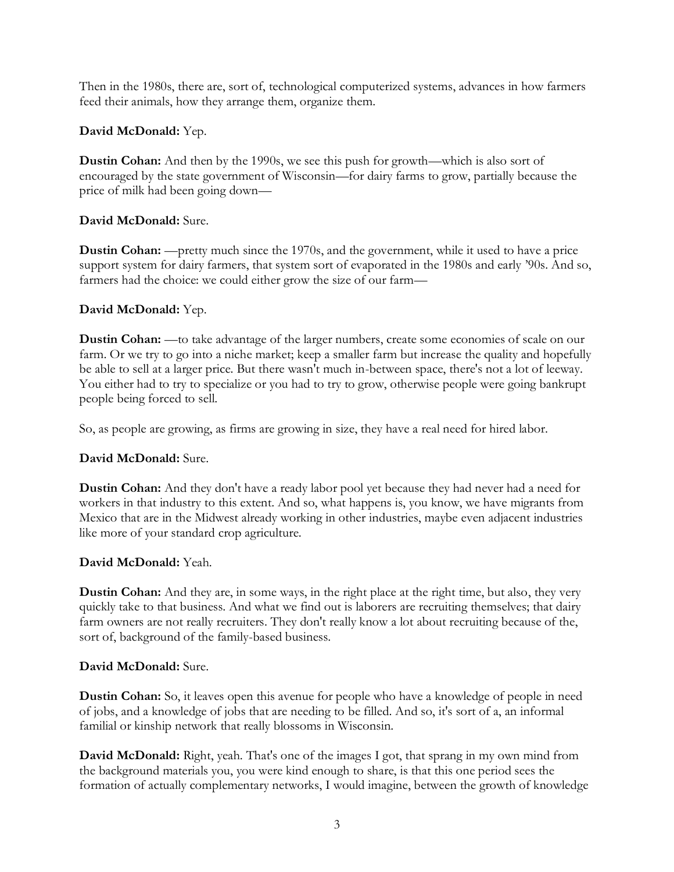Then in the 1980s, there are, sort of, technological computerized systems, advances in how farmers feed their animals, how they arrange them, organize them.

# **David McDonald:** Yep.

**Dustin Cohan:** And then by the 1990s, we see this push for growth—which is also sort of encouraged by the state government of Wisconsin—for dairy farms to grow, partially because the price of milk had been going down—

# **David McDonald:** Sure.

**Dustin Cohan:** —pretty much since the 1970s, and the government, while it used to have a price support system for dairy farmers, that system sort of evaporated in the 1980s and early '90s. And so, farmers had the choice: we could either grow the size of our farm—

# **David McDonald:** Yep.

**Dustin Cohan:** —to take advantage of the larger numbers, create some economies of scale on our farm. Or we try to go into a niche market; keep a smaller farm but increase the quality and hopefully be able to sell at a larger price. But there wasn't much in-between space, there's not a lot of leeway. You either had to try to specialize or you had to try to grow, otherwise people were going bankrupt people being forced to sell.

So, as people are growing, as firms are growing in size, they have a real need for hired labor.

## **David McDonald:** Sure.

**Dustin Cohan:** And they don't have a ready labor pool yet because they had never had a need for workers in that industry to this extent. And so, what happens is, you know, we have migrants from Mexico that are in the Midwest already working in other industries, maybe even adjacent industries like more of your standard crop agriculture.

## **David McDonald:** Yeah.

**Dustin Cohan:** And they are, in some ways, in the right place at the right time, but also, they very quickly take to that business. And what we find out is laborers are recruiting themselves; that dairy farm owners are not really recruiters. They don't really know a lot about recruiting because of the, sort of, background of the family-based business.

## **David McDonald:** Sure.

**Dustin Cohan:** So, it leaves open this avenue for people who have a knowledge of people in need of jobs, and a knowledge of jobs that are needing to be filled. And so, it's sort of a, an informal familial or kinship network that really blossoms in Wisconsin.

**David McDonald:** Right, yeah. That's one of the images I got, that sprang in my own mind from the background materials you, you were kind enough to share, is that this one period sees the formation of actually complementary networks, I would imagine, between the growth of knowledge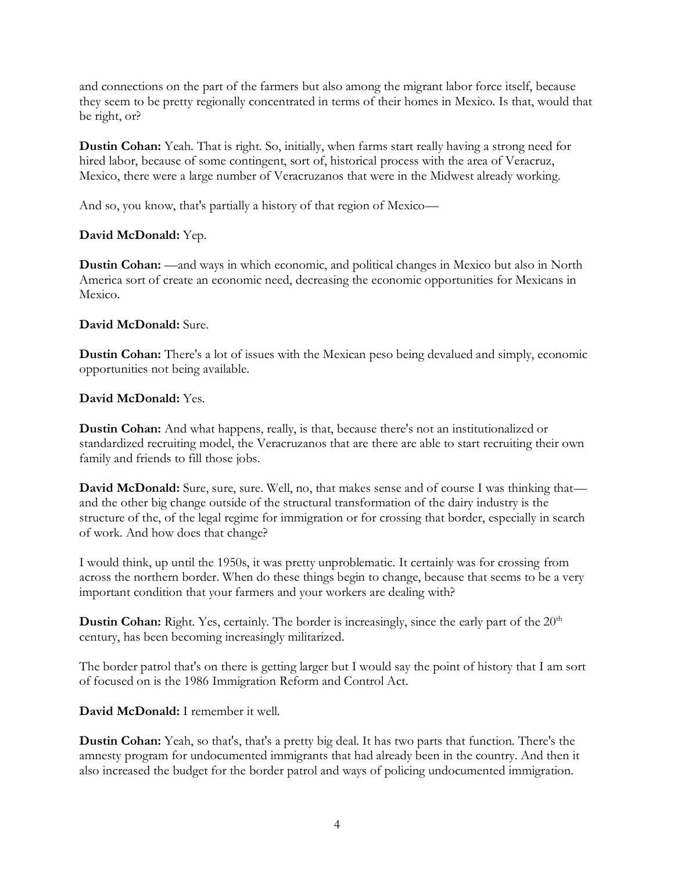and connections on the part of the farmers but also among the migrant labor force itself, because they seem to be pretty regionally concentrated in terms of their homes in Mexico. Is that, would that be right, or?

**Dustin Cohan:** Yeah. That is right. So, initially, when farms start really having a strong need for hired labor, because of some contingent, sort of, historical process with the area of Veracruz, Mexico, there were a large number of Veracruzanos that were in the Midwest already working.

And so, you know, that's partially a history of that region of Mexico—

# **David McDonald:** Yep.

**Dustin Cohan:** —and ways in which economic, and political changes in Mexico but also in North America sort of create an economic need, decreasing the economic opportunities for Mexicans in Mexico.

# **David McDonald:** Sure.

**Dustin Cohan:** There's a lot of issues with the Mexican peso being devalued and simply, economic opportunities not being available.

# **David McDonald:** Yes.

**Dustin Cohan:** And what happens, really, is that, because there's not an institutionalized or standardized recruiting model, the Veracruzanos that are there are able to start recruiting their own family and friends to fill those jobs.

**David McDonald:** Sure, sure, sure. Well, no, that makes sense and of course I was thinking that and the other big change outside of the structural transformation of the dairy industry is the structure of the, of the legal regime for immigration or for crossing that border, especially in search of work. And how does that change?

I would think, up until the 1950s, it was pretty unproblematic. It certainly was for crossing from across the northern border. When do these things begin to change, because that seems to be a very important condition that your farmers and your workers are dealing with?

**Dustin Cohan:** Right. Yes, certainly. The border is increasingly, since the early part of the 20<sup>th</sup> century, has been becoming increasingly militarized.

The border patrol that's on there is getting larger but I would say the point of history that I am sort of focused on is the 1986 Immigration Reform and Control Act.

# **David McDonald:** I remember it well.

**Dustin Cohan:** Yeah, so that's, that's a pretty big deal. It has two parts that function. There's the amnesty program for undocumented immigrants that had already been in the country. And then it also increased the budget for the border patrol and ways of policing undocumented immigration.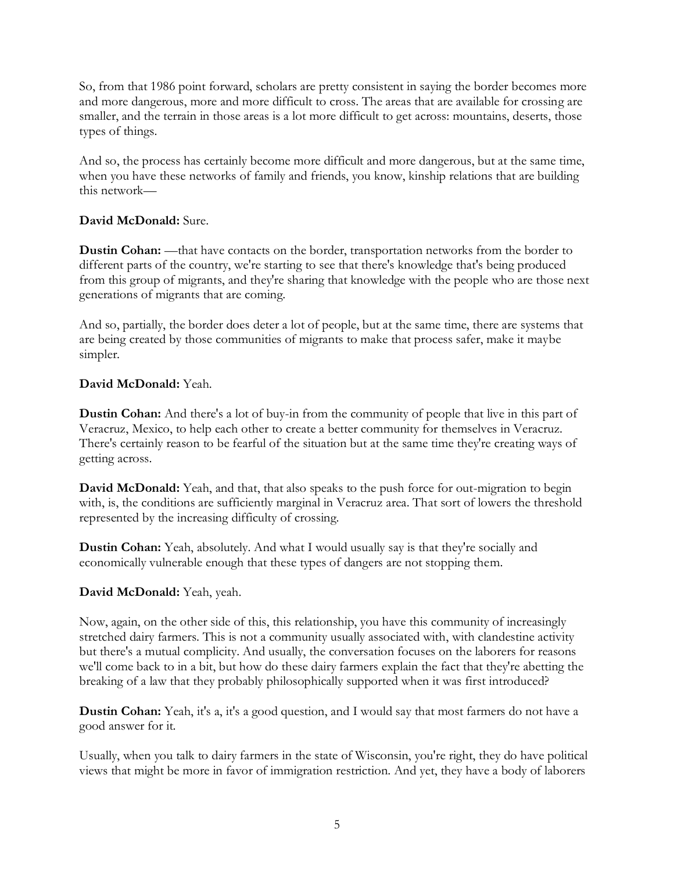So, from that 1986 point forward, scholars are pretty consistent in saying the border becomes more and more dangerous, more and more difficult to cross. The areas that are available for crossing are smaller, and the terrain in those areas is a lot more difficult to get across: mountains, deserts, those types of things.

And so, the process has certainly become more difficult and more dangerous, but at the same time, when you have these networks of family and friends, you know, kinship relations that are building this network—

# **David McDonald:** Sure.

**Dustin Cohan:** —that have contacts on the border, transportation networks from the border to different parts of the country, we're starting to see that there's knowledge that's being produced from this group of migrants, and they're sharing that knowledge with the people who are those next generations of migrants that are coming.

And so, partially, the border does deter a lot of people, but at the same time, there are systems that are being created by those communities of migrants to make that process safer, make it maybe simpler.

# **David McDonald:** Yeah.

**Dustin Cohan:** And there's a lot of buy-in from the community of people that live in this part of Veracruz, Mexico, to help each other to create a better community for themselves in Veracruz. There's certainly reason to be fearful of the situation but at the same time they're creating ways of getting across.

**David McDonald:** Yeah, and that, that also speaks to the push force for out-migration to begin with, is, the conditions are sufficiently marginal in Veracruz area. That sort of lowers the threshold represented by the increasing difficulty of crossing.

**Dustin Cohan:** Yeah, absolutely. And what I would usually say is that they're socially and economically vulnerable enough that these types of dangers are not stopping them.

## **David McDonald:** Yeah, yeah.

Now, again, on the other side of this, this relationship, you have this community of increasingly stretched dairy farmers. This is not a community usually associated with, with clandestine activity but there's a mutual complicity. And usually, the conversation focuses on the laborers for reasons we'll come back to in a bit, but how do these dairy farmers explain the fact that they're abetting the breaking of a law that they probably philosophically supported when it was first introduced?

**Dustin Cohan:** Yeah, it's a, it's a good question, and I would say that most farmers do not have a good answer for it.

Usually, when you talk to dairy farmers in the state of Wisconsin, you're right, they do have political views that might be more in favor of immigration restriction. And yet, they have a body of laborers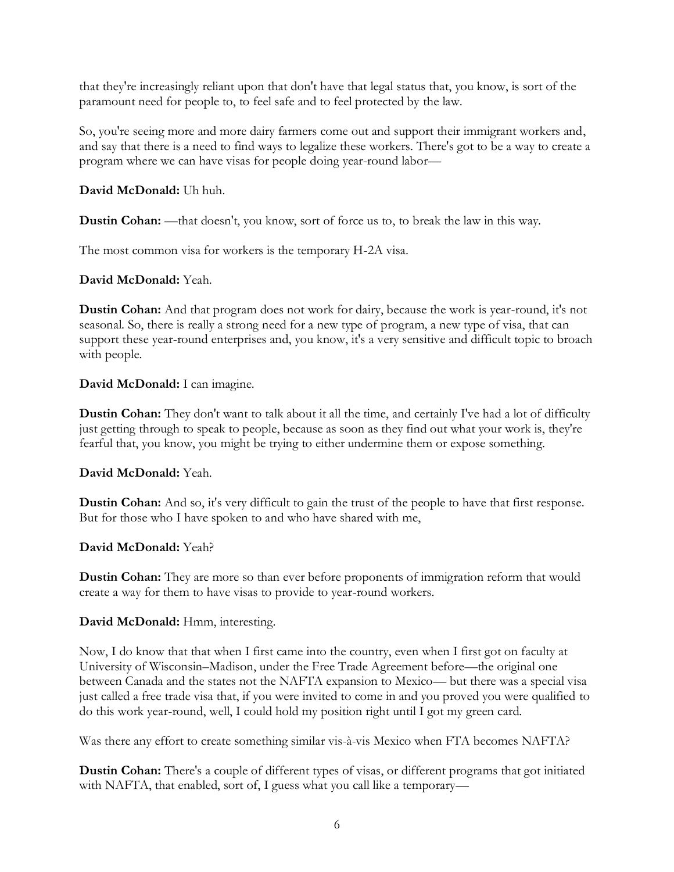that they're increasingly reliant upon that don't have that legal status that, you know, is sort of the paramount need for people to, to feel safe and to feel protected by the law.

So, you're seeing more and more dairy farmers come out and support their immigrant workers and, and say that there is a need to find ways to legalize these workers. There's got to be a way to create a program where we can have visas for people doing year-round labor—

# **David McDonald:** Uh huh.

**Dustin Cohan:** —that doesn't, you know, sort of force us to, to break the law in this way.

The most common visa for workers is the temporary H-2A visa.

## **David McDonald:** Yeah.

**Dustin Cohan:** And that program does not work for dairy, because the work is year-round, it's not seasonal. So, there is really a strong need for a new type of program, a new type of visa, that can support these year-round enterprises and, you know, it's a very sensitive and difficult topic to broach with people.

# **David McDonald:** I can imagine.

**Dustin Cohan:** They don't want to talk about it all the time, and certainly I've had a lot of difficulty just getting through to speak to people, because as soon as they find out what your work is, they're fearful that, you know, you might be trying to either undermine them or expose something.

## **David McDonald:** Yeah.

**Dustin Cohan:** And so, it's very difficult to gain the trust of the people to have that first response. But for those who I have spoken to and who have shared with me,

## **David McDonald:** Yeah?

**Dustin Cohan:** They are more so than ever before proponents of immigration reform that would create a way for them to have visas to provide to year-round workers.

## **David McDonald:** Hmm, interesting.

Now, I do know that that when I first came into the country, even when I first got on faculty at University of Wisconsin–Madison, under the Free Trade Agreement before—the original one between Canada and the states not the NAFTA expansion to Mexico— but there was a special visa just called a free trade visa that, if you were invited to come in and you proved you were qualified to do this work year-round, well, I could hold my position right until I got my green card.

Was there any effort to create something similar vis-à-vis Mexico when FTA becomes NAFTA?

**Dustin Cohan:** There's a couple of different types of visas, or different programs that got initiated with NAFTA, that enabled, sort of, I guess what you call like a temporary—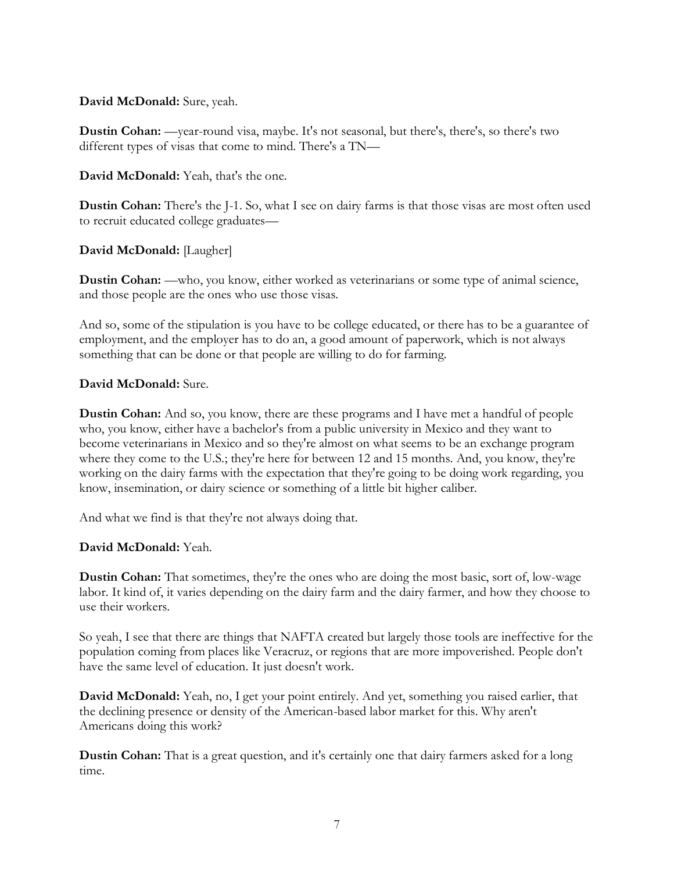## **David McDonald:** Sure, yeah.

**Dustin Cohan:** —year-round visa, maybe. It's not seasonal, but there's, there's, so there's two different types of visas that come to mind. There's a TN—

**David McDonald:** Yeah, that's the one.

**Dustin Cohan:** There's the J-1. So, what I see on dairy farms is that those visas are most often used to recruit educated college graduates—

# **David McDonald:** [Laugher]

**Dustin Cohan:** —who, you know, either worked as veterinarians or some type of animal science, and those people are the ones who use those visas.

And so, some of the stipulation is you have to be college educated, or there has to be a guarantee of employment, and the employer has to do an, a good amount of paperwork, which is not always something that can be done or that people are willing to do for farming.

# **David McDonald:** Sure.

**Dustin Cohan:** And so, you know, there are these programs and I have met a handful of people who, you know, either have a bachelor's from a public university in Mexico and they want to become veterinarians in Mexico and so they're almost on what seems to be an exchange program where they come to the U.S.; they're here for between 12 and 15 months. And, you know, they're working on the dairy farms with the expectation that they're going to be doing work regarding, you know, insemination, or dairy science or something of a little bit higher caliber.

And what we find is that they're not always doing that.

# **David McDonald:** Yeah.

**Dustin Cohan:** That sometimes, they're the ones who are doing the most basic, sort of, low-wage labor. It kind of, it varies depending on the dairy farm and the dairy farmer, and how they choose to use their workers.

So yeah, I see that there are things that NAFTA created but largely those tools are ineffective for the population coming from places like Veracruz, or regions that are more impoverished. People don't have the same level of education. It just doesn't work.

**David McDonald:** Yeah, no, I get your point entirely. And yet, something you raised earlier, that the declining presence or density of the American-based labor market for this. Why aren't Americans doing this work?

**Dustin Cohan:** That is a great question, and it's certainly one that dairy farmers asked for a long time.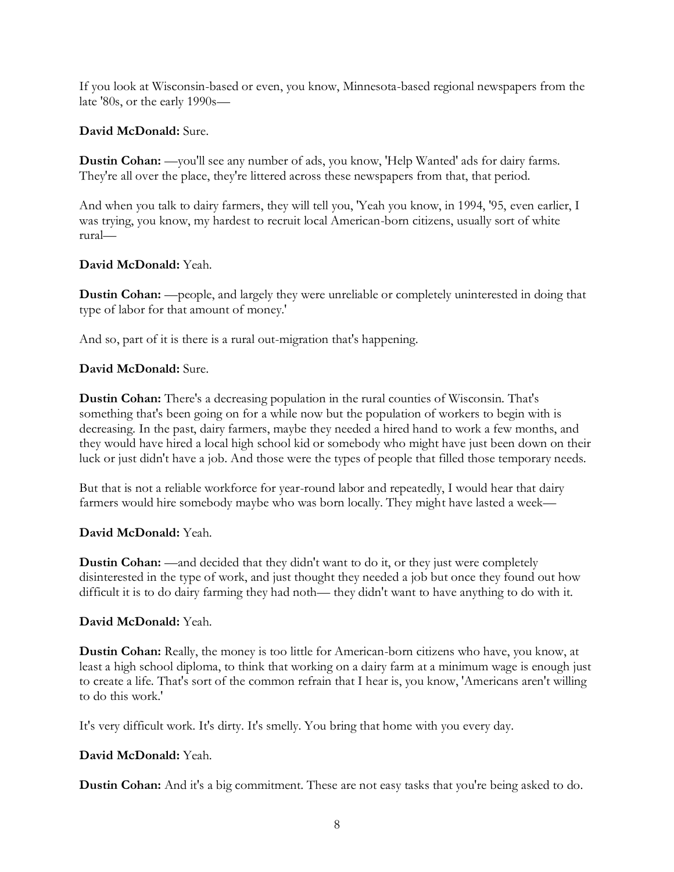If you look at Wisconsin-based or even, you know, Minnesota-based regional newspapers from the late '80s, or the early 1990s—

# **David McDonald:** Sure.

**Dustin Cohan:** —you'll see any number of ads, you know, 'Help Wanted' ads for dairy farms. They're all over the place, they're littered across these newspapers from that, that period.

And when you talk to dairy farmers, they will tell you, 'Yeah you know, in 1994, '95, even earlier, I was trying, you know, my hardest to recruit local American-born citizens, usually sort of white rural—

# **David McDonald:** Yeah.

**Dustin Cohan:** —people, and largely they were unreliable or completely uninterested in doing that type of labor for that amount of money.'

And so, part of it is there is a rural out-migration that's happening.

# **David McDonald:** Sure.

**Dustin Cohan:** There's a decreasing population in the rural counties of Wisconsin. That's something that's been going on for a while now but the population of workers to begin with is decreasing. In the past, dairy farmers, maybe they needed a hired hand to work a few months, and they would have hired a local high school kid or somebody who might have just been down on their luck or just didn't have a job. And those were the types of people that filled those temporary needs.

But that is not a reliable workforce for year-round labor and repeatedly, I would hear that dairy farmers would hire somebody maybe who was born locally. They might have lasted a week—

# **David McDonald:** Yeah.

**Dustin Cohan:** —and decided that they didn't want to do it, or they just were completely disinterested in the type of work, and just thought they needed a job but once they found out how difficult it is to do dairy farming they had noth— they didn't want to have anything to do with it.

## **David McDonald:** Yeah.

**Dustin Cohan:** Really, the money is too little for American-born citizens who have, you know, at least a high school diploma, to think that working on a dairy farm at a minimum wage is enough just to create a life. That's sort of the common refrain that I hear is, you know, 'Americans aren't willing to do this work.'

It's very difficult work. It's dirty. It's smelly. You bring that home with you every day.

# **David McDonald:** Yeah.

**Dustin Cohan:** And it's a big commitment. These are not easy tasks that you're being asked to do.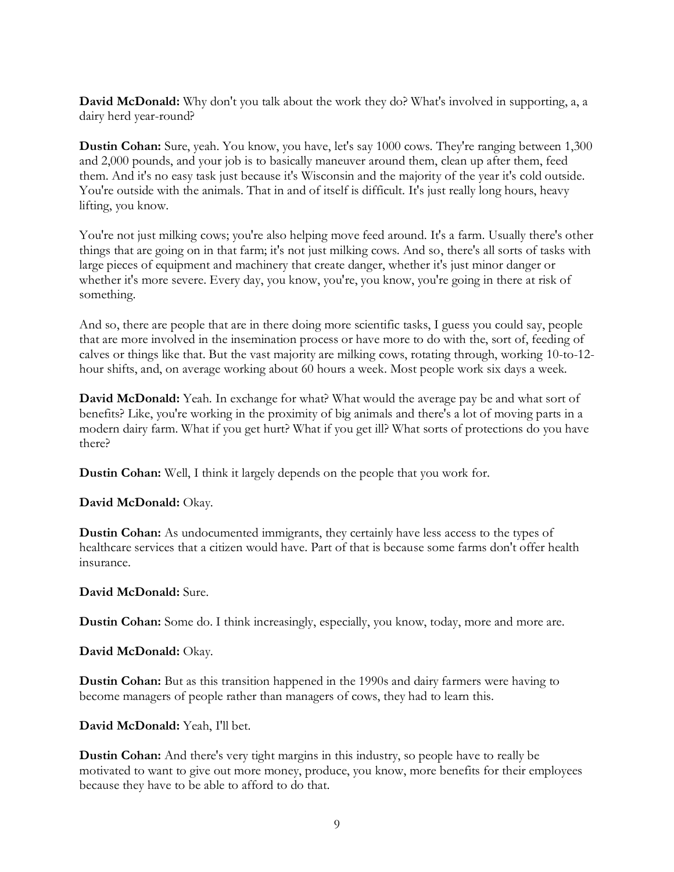**David McDonald:** Why don't you talk about the work they do? What's involved in supporting, a, a dairy herd year-round?

**Dustin Cohan:** Sure, yeah. You know, you have, let's say 1000 cows. They're ranging between 1,300 and 2,000 pounds, and your job is to basically maneuver around them, clean up after them, feed them. And it's no easy task just because it's Wisconsin and the majority of the year it's cold outside. You're outside with the animals. That in and of itself is difficult. It's just really long hours, heavy lifting, you know.

You're not just milking cows; you're also helping move feed around. It's a farm. Usually there's other things that are going on in that farm; it's not just milking cows. And so, there's all sorts of tasks with large pieces of equipment and machinery that create danger, whether it's just minor danger or whether it's more severe. Every day, you know, you're, you know, you're going in there at risk of something.

And so, there are people that are in there doing more scientific tasks, I guess you could say, people that are more involved in the insemination process or have more to do with the, sort of, feeding of calves or things like that. But the vast majority are milking cows, rotating through, working 10-to-12 hour shifts, and, on average working about 60 hours a week. Most people work six days a week.

**David McDonald:** Yeah. In exchange for what? What would the average pay be and what sort of benefits? Like, you're working in the proximity of big animals and there's a lot of moving parts in a modern dairy farm. What if you get hurt? What if you get ill? What sorts of protections do you have there?

**Dustin Cohan:** Well, I think it largely depends on the people that you work for.

#### **David McDonald:** Okay.

**Dustin Cohan:** As undocumented immigrants, they certainly have less access to the types of healthcare services that a citizen would have. Part of that is because some farms don't offer health insurance.

#### **David McDonald:** Sure.

**Dustin Cohan:** Some do. I think increasingly, especially, you know, today, more and more are.

**David McDonald:** Okay.

**Dustin Cohan:** But as this transition happened in the 1990s and dairy farmers were having to become managers of people rather than managers of cows, they had to learn this.

#### **David McDonald:** Yeah, I'll bet.

**Dustin Cohan:** And there's very tight margins in this industry, so people have to really be motivated to want to give out more money, produce, you know, more benefits for their employees because they have to be able to afford to do that.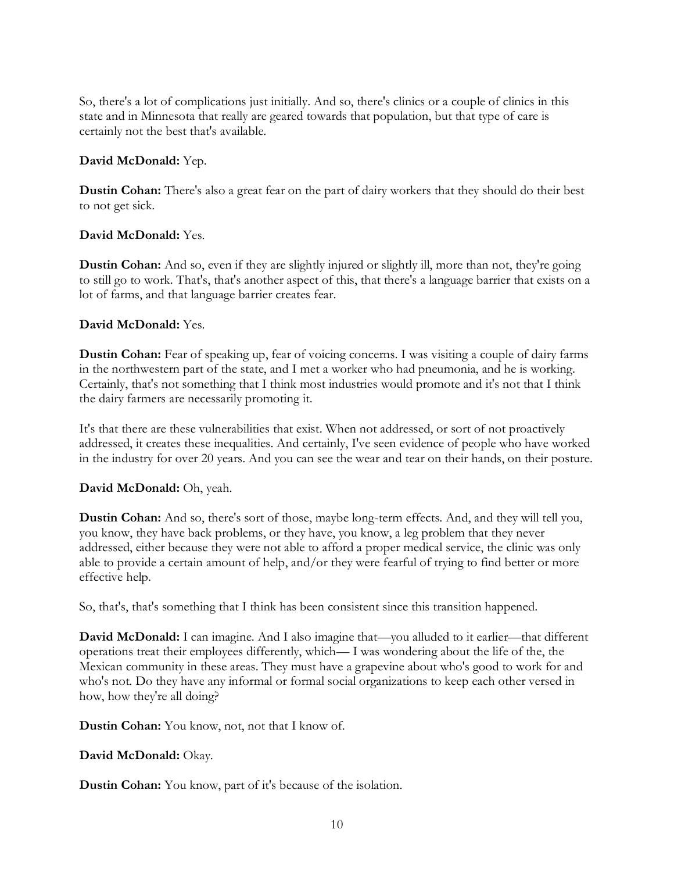So, there's a lot of complications just initially. And so, there's clinics or a couple of clinics in this state and in Minnesota that really are geared towards that population, but that type of care is certainly not the best that's available.

# **David McDonald:** Yep.

**Dustin Cohan:** There's also a great fear on the part of dairy workers that they should do their best to not get sick.

# **David McDonald:** Yes.

**Dustin Cohan:** And so, even if they are slightly injured or slightly ill, more than not, they're going to still go to work. That's, that's another aspect of this, that there's a language barrier that exists on a lot of farms, and that language barrier creates fear.

# **David McDonald:** Yes.

**Dustin Cohan:** Fear of speaking up, fear of voicing concerns. I was visiting a couple of dairy farms in the northwestern part of the state, and I met a worker who had pneumonia, and he is working. Certainly, that's not something that I think most industries would promote and it's not that I think the dairy farmers are necessarily promoting it.

It's that there are these vulnerabilities that exist. When not addressed, or sort of not proactively addressed, it creates these inequalities. And certainly, I've seen evidence of people who have worked in the industry for over 20 years. And you can see the wear and tear on their hands, on their posture.

## **David McDonald:** Oh, yeah.

**Dustin Cohan:** And so, there's sort of those, maybe long-term effects. And, and they will tell you, you know, they have back problems, or they have, you know, a leg problem that they never addressed, either because they were not able to afford a proper medical service, the clinic was only able to provide a certain amount of help, and/or they were fearful of trying to find better or more effective help.

So, that's, that's something that I think has been consistent since this transition happened.

**David McDonald:** I can imagine. And I also imagine that—you alluded to it earlier—that different operations treat their employees differently, which— I was wondering about the life of the, the Mexican community in these areas. They must have a grapevine about who's good to work for and who's not. Do they have any informal or formal social organizations to keep each other versed in how, how they're all doing?

## **Dustin Cohan:** You know, not, not that I know of.

## **David McDonald:** Okay.

**Dustin Cohan:** You know, part of it's because of the isolation.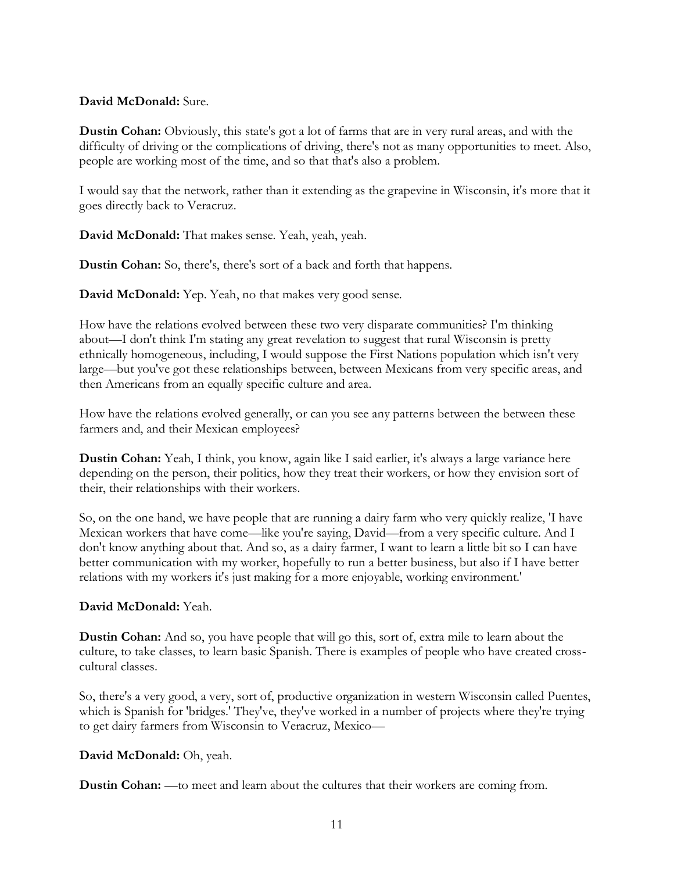### **David McDonald:** Sure.

**Dustin Cohan:** Obviously, this state's got a lot of farms that are in very rural areas, and with the difficulty of driving or the complications of driving, there's not as many opportunities to meet. Also, people are working most of the time, and so that that's also a problem.

I would say that the network, rather than it extending as the grapevine in Wisconsin, it's more that it goes directly back to Veracruz.

**David McDonald:** That makes sense. Yeah, yeah, yeah.

**Dustin Cohan:** So, there's, there's sort of a back and forth that happens.

**David McDonald:** Yep. Yeah, no that makes very good sense.

How have the relations evolved between these two very disparate communities? I'm thinking about—I don't think I'm stating any great revelation to suggest that rural Wisconsin is pretty ethnically homogeneous, including, I would suppose the First Nations population which isn't very large—but you've got these relationships between, between Mexicans from very specific areas, and then Americans from an equally specific culture and area.

How have the relations evolved generally, or can you see any patterns between the between these farmers and, and their Mexican employees?

**Dustin Cohan:** Yeah, I think, you know, again like I said earlier, it's always a large variance here depending on the person, their politics, how they treat their workers, or how they envision sort of their, their relationships with their workers.

So, on the one hand, we have people that are running a dairy farm who very quickly realize, 'I have Mexican workers that have come—like you're saying, David—from a very specific culture. And I don't know anything about that. And so, as a dairy farmer, I want to learn a little bit so I can have better communication with my worker, hopefully to run a better business, but also if I have better relations with my workers it's just making for a more enjoyable, working environment.'

## **David McDonald:** Yeah.

**Dustin Cohan:** And so, you have people that will go this, sort of, extra mile to learn about the culture, to take classes, to learn basic Spanish. There is examples of people who have created crosscultural classes.

So, there's a very good, a very, sort of, productive organization in western Wisconsin called Puentes, which is Spanish for 'bridges.' They've, they've worked in a number of projects where they're trying to get dairy farmers from Wisconsin to Veracruz, Mexico—

## **David McDonald:** Oh, yeah.

**Dustin Cohan:** —to meet and learn about the cultures that their workers are coming from.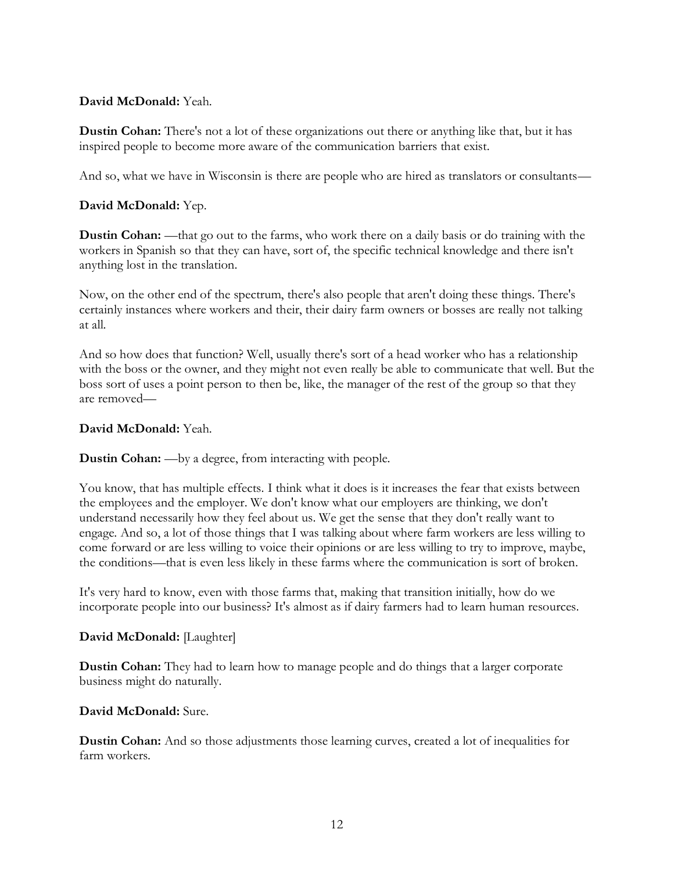## **David McDonald:** Yeah.

**Dustin Cohan:** There's not a lot of these organizations out there or anything like that, but it has inspired people to become more aware of the communication barriers that exist.

And so, what we have in Wisconsin is there are people who are hired as translators or consultants—

# **David McDonald:** Yep.

**Dustin Cohan:** —that go out to the farms, who work there on a daily basis or do training with the workers in Spanish so that they can have, sort of, the specific technical knowledge and there isn't anything lost in the translation.

Now, on the other end of the spectrum, there's also people that aren't doing these things. There's certainly instances where workers and their, their dairy farm owners or bosses are really not talking at all.

And so how does that function? Well, usually there's sort of a head worker who has a relationship with the boss or the owner, and they might not even really be able to communicate that well. But the boss sort of uses a point person to then be, like, the manager of the rest of the group so that they are removed—

## **David McDonald:** Yeah.

## **Dustin Cohan:** —by a degree, from interacting with people.

You know, that has multiple effects. I think what it does is it increases the fear that exists between the employees and the employer. We don't know what our employers are thinking, we don't understand necessarily how they feel about us. We get the sense that they don't really want to engage. And so, a lot of those things that I was talking about where farm workers are less willing to come forward or are less willing to voice their opinions or are less willing to try to improve, maybe, the conditions—that is even less likely in these farms where the communication is sort of broken.

It's very hard to know, even with those farms that, making that transition initially, how do we incorporate people into our business? It's almost as if dairy farmers had to learn human resources.

## **David McDonald:** [Laughter]

**Dustin Cohan:** They had to learn how to manage people and do things that a larger corporate business might do naturally.

## **David McDonald:** Sure.

**Dustin Cohan:** And so those adjustments those learning curves, created a lot of inequalities for farm workers.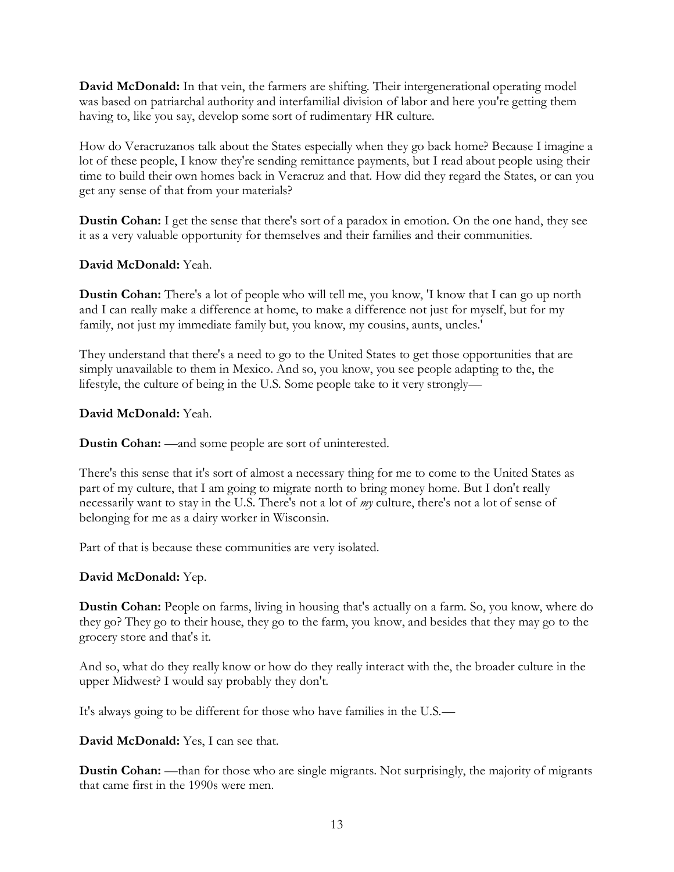**David McDonald:** In that vein, the farmers are shifting. Their intergenerational operating model was based on patriarchal authority and interfamilial division of labor and here you're getting them having to, like you say, develop some sort of rudimentary HR culture.

How do Veracruzanos talk about the States especially when they go back home? Because I imagine a lot of these people, I know they're sending remittance payments, but I read about people using their time to build their own homes back in Veracruz and that. How did they regard the States, or can you get any sense of that from your materials?

**Dustin Cohan:** I get the sense that there's sort of a paradox in emotion. On the one hand, they see it as a very valuable opportunity for themselves and their families and their communities.

# **David McDonald:** Yeah.

**Dustin Cohan:** There's a lot of people who will tell me, you know, 'I know that I can go up north and I can really make a difference at home, to make a difference not just for myself, but for my family, not just my immediate family but, you know, my cousins, aunts, uncles.'

They understand that there's a need to go to the United States to get those opportunities that are simply unavailable to them in Mexico. And so, you know, you see people adapting to the, the lifestyle, the culture of being in the U.S. Some people take to it very strongly—

# **David McDonald:** Yeah.

**Dustin Cohan:** —and some people are sort of uninterested.

There's this sense that it's sort of almost a necessary thing for me to come to the United States as part of my culture, that I am going to migrate north to bring money home. But I don't really necessarily want to stay in the U.S. There's not a lot of *my* culture, there's not a lot of sense of belonging for me as a dairy worker in Wisconsin.

Part of that is because these communities are very isolated.

# **David McDonald:** Yep.

**Dustin Cohan:** People on farms, living in housing that's actually on a farm. So, you know, where do they go? They go to their house, they go to the farm, you know, and besides that they may go to the grocery store and that's it.

And so, what do they really know or how do they really interact with the, the broader culture in the upper Midwest? I would say probably they don't.

It's always going to be different for those who have families in the U.S.—

**David McDonald:** Yes, I can see that.

**Dustin Cohan:** —than for those who are single migrants. Not surprisingly, the majority of migrants that came first in the 1990s were men.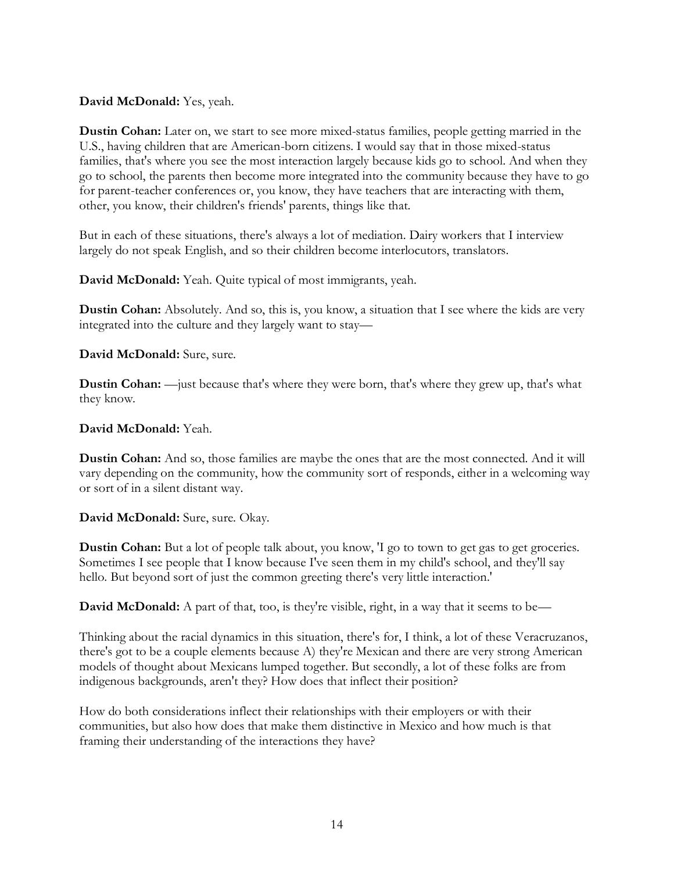## **David McDonald:** Yes, yeah.

**Dustin Cohan:** Later on, we start to see more mixed-status families, people getting married in the U.S., having children that are American-born citizens. I would say that in those mixed-status families, that's where you see the most interaction largely because kids go to school. And when they go to school, the parents then become more integrated into the community because they have to go for parent-teacher conferences or, you know, they have teachers that are interacting with them, other, you know, their children's friends' parents, things like that.

But in each of these situations, there's always a lot of mediation. Dairy workers that I interview largely do not speak English, and so their children become interlocutors, translators.

**David McDonald:** Yeah. Quite typical of most immigrants, yeah.

**Dustin Cohan:** Absolutely. And so, this is, you know, a situation that I see where the kids are very integrated into the culture and they largely want to stay—

**David McDonald:** Sure, sure.

**Dustin Cohan:** —just because that's where they were born, that's where they grew up, that's what they know.

## **David McDonald:** Yeah.

**Dustin Cohan:** And so, those families are maybe the ones that are the most connected. And it will vary depending on the community, how the community sort of responds, either in a welcoming way or sort of in a silent distant way.

**David McDonald:** Sure, sure. Okay.

**Dustin Cohan:** But a lot of people talk about, you know, 'I go to town to get gas to get groceries. Sometimes I see people that I know because I've seen them in my child's school, and they'll say hello. But beyond sort of just the common greeting there's very little interaction.'

**David McDonald:** A part of that, too, is they're visible, right, in a way that it seems to be—

Thinking about the racial dynamics in this situation, there's for, I think, a lot of these Veracruzanos, there's got to be a couple elements because A) they're Mexican and there are very strong American models of thought about Mexicans lumped together. But secondly, a lot of these folks are from indigenous backgrounds, aren't they? How does that inflect their position?

How do both considerations inflect their relationships with their employers or with their communities, but also how does that make them distinctive in Mexico and how much is that framing their understanding of the interactions they have?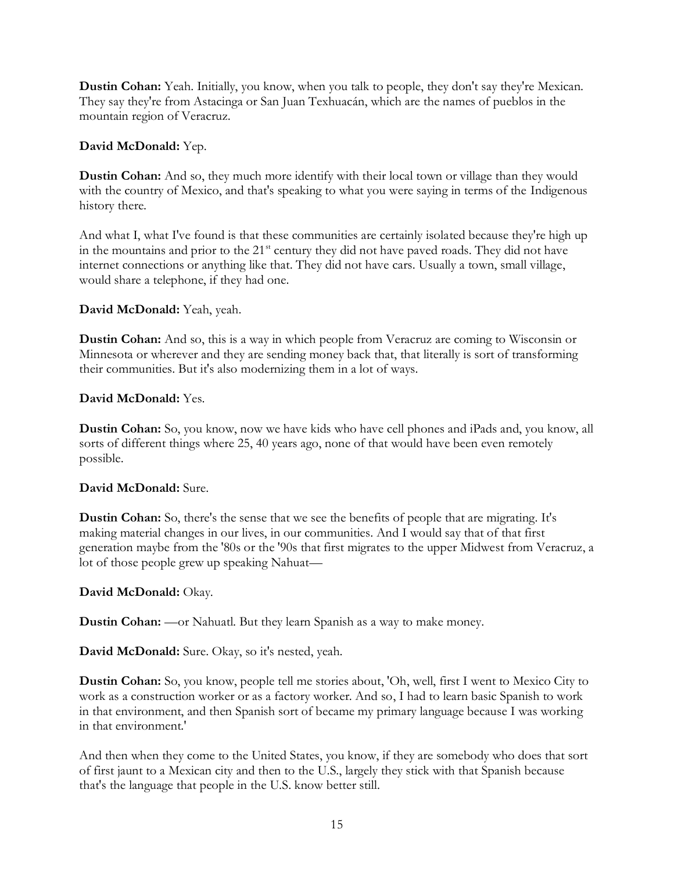**Dustin Cohan:** Yeah. Initially, you know, when you talk to people, they don't say they're Mexican. They say they're from Astacinga or San Juan Texhuacán, which are the names of pueblos in the mountain region of Veracruz.

# **David McDonald:** Yep.

**Dustin Cohan:** And so, they much more identify with their local town or village than they would with the country of Mexico, and that's speaking to what you were saying in terms of the Indigenous history there.

And what I, what I've found is that these communities are certainly isolated because they're high up in the mountains and prior to the 21<sup>st</sup> century they did not have paved roads. They did not have internet connections or anything like that. They did not have cars. Usually a town, small village, would share a telephone, if they had one.

# **David McDonald:** Yeah, yeah.

**Dustin Cohan:** And so, this is a way in which people from Veracruz are coming to Wisconsin or Minnesota or wherever and they are sending money back that, that literally is sort of transforming their communities. But it's also modernizing them in a lot of ways.

# **David McDonald:** Yes.

**Dustin Cohan:** So, you know, now we have kids who have cell phones and iPads and, you know, all sorts of different things where 25, 40 years ago, none of that would have been even remotely possible.

## **David McDonald:** Sure.

**Dustin Cohan:** So, there's the sense that we see the benefits of people that are migrating. It's making material changes in our lives, in our communities. And I would say that of that first generation maybe from the '80s or the '90s that first migrates to the upper Midwest from Veracruz, a lot of those people grew up speaking Nahuat—

## **David McDonald:** Okay.

**Dustin Cohan:** —or Nahuatl. But they learn Spanish as a way to make money.

**David McDonald:** Sure. Okay, so it's nested, yeah.

**Dustin Cohan:** So, you know, people tell me stories about, 'Oh, well, first I went to Mexico City to work as a construction worker or as a factory worker. And so, I had to learn basic Spanish to work in that environment, and then Spanish sort of became my primary language because I was working in that environment.'

And then when they come to the United States, you know, if they are somebody who does that sort of first jaunt to a Mexican city and then to the U.S., largely they stick with that Spanish because that's the language that people in the U.S. know better still.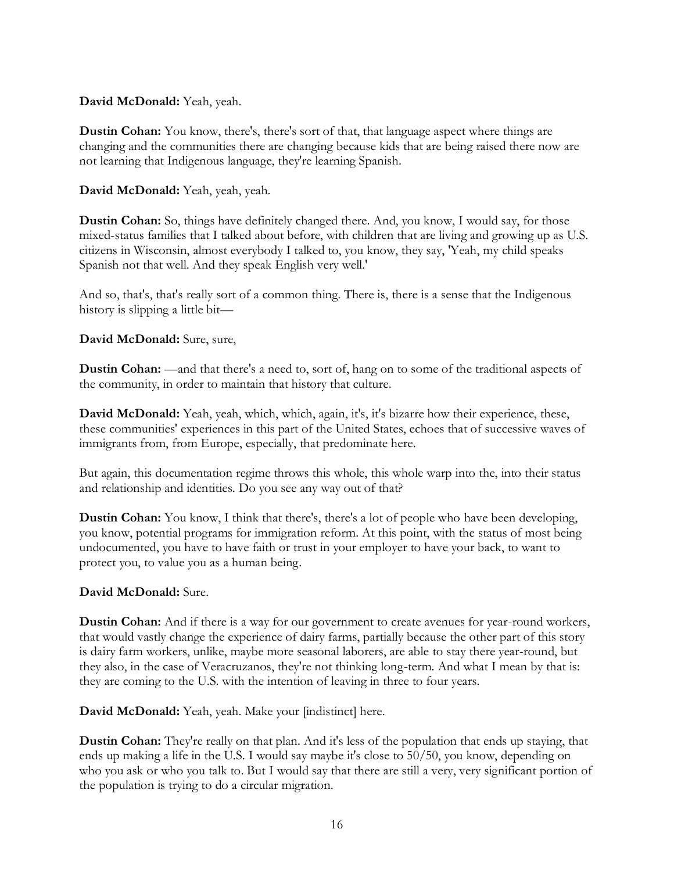## **David McDonald:** Yeah, yeah.

**Dustin Cohan:** You know, there's, there's sort of that, that language aspect where things are changing and the communities there are changing because kids that are being raised there now are not learning that Indigenous language, they're learning Spanish.

**David McDonald:** Yeah, yeah, yeah.

**Dustin Cohan:** So, things have definitely changed there. And, you know, I would say, for those mixed-status families that I talked about before, with children that are living and growing up as U.S. citizens in Wisconsin, almost everybody I talked to, you know, they say, 'Yeah, my child speaks Spanish not that well. And they speak English very well.'

And so, that's, that's really sort of a common thing. There is, there is a sense that the Indigenous history is slipping a little bit—

# **David McDonald:** Sure, sure,

**Dustin Cohan:** —and that there's a need to, sort of, hang on to some of the traditional aspects of the community, in order to maintain that history that culture.

**David McDonald:** Yeah, yeah, which, which, again, it's, it's bizarre how their experience, these, these communities' experiences in this part of the United States, echoes that of successive waves of immigrants from, from Europe, especially, that predominate here.

But again, this documentation regime throws this whole, this whole warp into the, into their status and relationship and identities. Do you see any way out of that?

**Dustin Cohan:** You know, I think that there's, there's a lot of people who have been developing, you know, potential programs for immigration reform. At this point, with the status of most being undocumented, you have to have faith or trust in your employer to have your back, to want to protect you, to value you as a human being.

## **David McDonald:** Sure.

**Dustin Cohan:** And if there is a way for our government to create avenues for year-round workers, that would vastly change the experience of dairy farms, partially because the other part of this story is dairy farm workers, unlike, maybe more seasonal laborers, are able to stay there year-round, but they also, in the case of Veracruzanos, they're not thinking long-term. And what I mean by that is: they are coming to the U.S. with the intention of leaving in three to four years.

**David McDonald:** Yeah, yeah. Make your [indistinct] here.

**Dustin Cohan:** They're really on that plan. And it's less of the population that ends up staying, that ends up making a life in the U.S. I would say maybe it's close to 50/50, you know, depending on who you ask or who you talk to. But I would say that there are still a very, very significant portion of the population is trying to do a circular migration.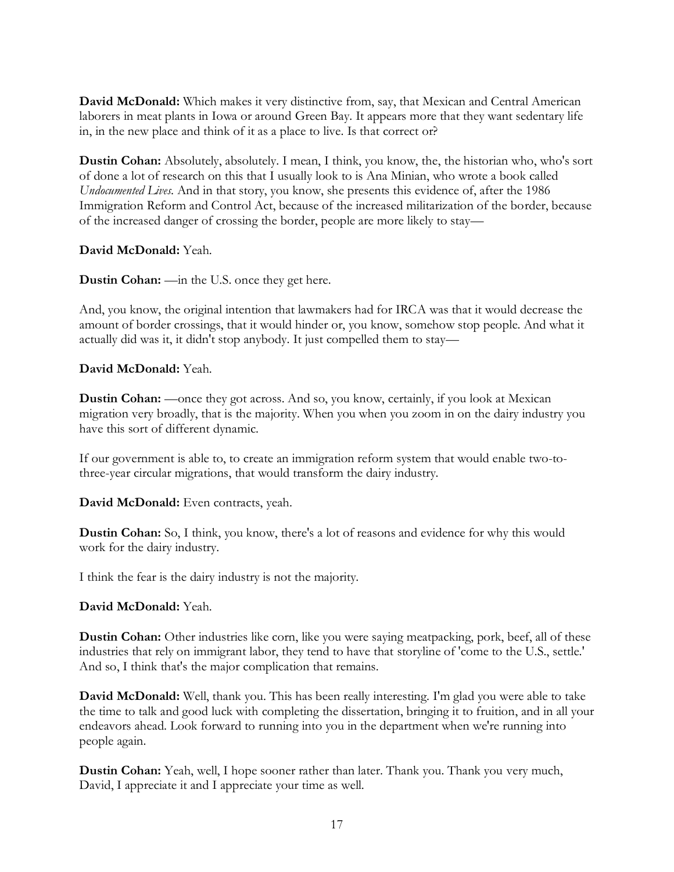**David McDonald:** Which makes it very distinctive from, say, that Mexican and Central American laborers in meat plants in Iowa or around Green Bay. It appears more that they want sedentary life in, in the new place and think of it as a place to live. Is that correct or?

**Dustin Cohan:** Absolutely, absolutely. I mean, I think, you know, the, the historian who, who's sort of done a lot of research on this that I usually look to is Ana Minian, who wrote a book called *Undocumented Lives*. And in that story, you know, she presents this evidence of, after the 1986 Immigration Reform and Control Act, because of the increased militarization of the border, because of the increased danger of crossing the border, people are more likely to stay—

## **David McDonald:** Yeah.

**Dustin Cohan:** —in the U.S. once they get here.

And, you know, the original intention that lawmakers had for IRCA was that it would decrease the amount of border crossings, that it would hinder or, you know, somehow stop people. And what it actually did was it, it didn't stop anybody. It just compelled them to stay—

# **David McDonald:** Yeah.

**Dustin Cohan:** —once they got across. And so, you know, certainly, if you look at Mexican migration very broadly, that is the majority. When you when you zoom in on the dairy industry you have this sort of different dynamic.

If our government is able to, to create an immigration reform system that would enable two-tothree-year circular migrations, that would transform the dairy industry.

**David McDonald:** Even contracts, yeah.

**Dustin Cohan:** So, I think, you know, there's a lot of reasons and evidence for why this would work for the dairy industry.

I think the fear is the dairy industry is not the majority.

## **David McDonald:** Yeah.

**Dustin Cohan:** Other industries like corn, like you were saying meatpacking, pork, beef, all of these industries that rely on immigrant labor, they tend to have that storyline of 'come to the U.S., settle.' And so, I think that's the major complication that remains.

**David McDonald:** Well, thank you. This has been really interesting. I'm glad you were able to take the time to talk and good luck with completing the dissertation, bringing it to fruition, and in all your endeavors ahead. Look forward to running into you in the department when we're running into people again.

**Dustin Cohan:** Yeah, well, I hope sooner rather than later. Thank you. Thank you very much, David, I appreciate it and I appreciate your time as well.